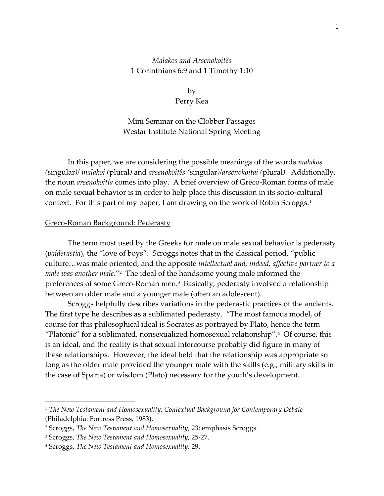## *Malakos and Arsenokoitês* 1 Corinthians 6:9 and 1 Timothy 1:10

by Perry Kea

Mini Seminar on the Clobber Passages Westar Institute National Spring Meeting

In this paper, we are considering the possible meanings of the words *malakos (*singular*)/ malakoi (*plural*)* and *arsenokoitês (*singular*)/arsenokoitai (*plural*).* Additionally, the noun *arsenokoitia* comes into play. A brief overview of Greco-Roman forms of male on male sexual behavior is in order to help place this discussion in its socio-cultural context. For this part of my paper, I am drawing on the work of Robin Scroggs.<sup>1</sup>

#### Greco-Roman Background: Pederasty

The term most used by the Greeks for male on male sexual behavior is pederasty (*paiderastia*), the "love of boys". Scroggs notes that in the classical period, "public culture…was male oriented, and the apposite *intellectual and, indeed, affective partner to a male was another male*."<sup>2</sup> The ideal of the handsome young male informed the preferences of some Greco-Roman men.<sup>3</sup> Basically, pederasty involved a relationship between an older male and a younger male (often an adolescent).

Scroggs helpfully describes variations in the pederastic practices of the ancients. The first type he describes as a sublimated pederasty. "The most famous model, of course for this philosophical ideal is Socrates as portrayed by Plato, hence the term "Platonic" for a sublimated, nonsexualized homosexual relationship".<sup>4</sup> Of course, this is an ideal, and the reality is that sexual intercourse probably did figure in many of these relationships. However, the ideal held that the relationship was appropriate so long as the older male provided the younger male with the skills (e.g., military skills in the case of Sparta) or wisdom (Plato) necessary for the youth's development.

<sup>1</sup> *The New Testament and Homosexuality: Contextual Background for Contemporary Debate*  (Philadelphia: Fortress Press, 1983).

<sup>2</sup> Scroggs, *The New Testament and Homosexuality,* 23; emphasis Scroggs.

<sup>3</sup> Scroggs, *The New Testament and Homosexuality,* 25-27.

<sup>4</sup> Scroggs, *The New Testament and Homosexuality,* 29.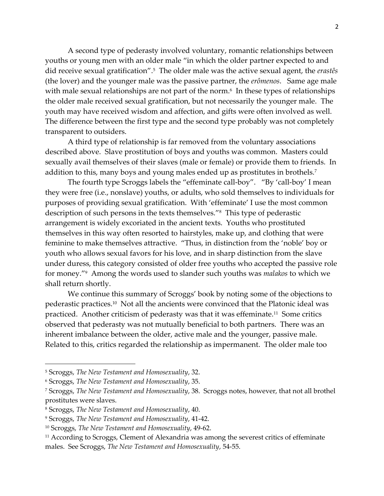A second type of pederasty involved voluntary, romantic relationships between youths or young men with an older male "in which the older partner expected to and did receive sexual gratification".<sup>5</sup> The older male was the active sexual agent, the *erastês*  (the lover) and the younger male was the passive partner, the *erômenos*. Same age male with male sexual relationships are not part of the norm.<sup>6</sup> In these types of relationships the older male received sexual gratification, but not necessarily the younger male. The youth may have received wisdom and affection, and gifts were often involved as well. The difference between the first type and the second type probably was not completely transparent to outsiders.

A third type of relationship is far removed from the voluntary associations described above. Slave prostitution of boys and youths was common. Masters could sexually avail themselves of their slaves (male or female) or provide them to friends. In addition to this, many boys and young males ended up as prostitutes in brothels.<sup>7</sup>

The fourth type Scroggs labels the "effeminate call-boy". "By 'call-boy' I mean they were free (i.e., nonslave) youths, or adults, who sold themselves to individuals for purposes of providing sexual gratification. With 'effeminate' I use the most common description of such persons in the texts themselves."<sup>8</sup> This type of pederastic arrangement is widely excoriated in the ancient texts. Youths who prostituted themselves in this way often resorted to hairstyles, make up, and clothing that were feminine to make themselves attractive. "Thus, in distinction from the 'noble' boy or youth who allows sexual favors for his love, and in sharp distinction from the slave under duress, this category consisted of older free youths who accepted the passive role for money."<sup>9</sup> Among the words used to slander such youths was *malakos* to which we shall return shortly.

We continue this summary of Scroggs' book by noting some of the objections to pederastic practices.<sup>10</sup> Not all the ancients were convinced that the Platonic ideal was practiced. Another criticism of pederasty was that it was effeminate.<sup>11</sup> Some critics observed that pederasty was not mutually beneficial to both partners. There was an inherent imbalance between the older, active male and the younger, passive male. Related to this, critics regarded the relationship as impermanent. The older male too

<sup>5</sup> Scroggs, *The New Testament and Homosexuality*, 32.

<sup>6</sup> Scroggs, *The New Testament and Homosexuality*, 35.

<sup>7</sup> Scroggs, *The New Testament and Homosexuality*, 38. Scroggs notes, however, that not all brothel prostitutes were slaves.

<sup>8</sup> Scroggs, *The New Testament and Homosexuality*, 40.

<sup>9</sup> Scroggs, *The New Testament and Homosexuality*, 41-42.

<sup>10</sup> Scroggs, *The New Testament and Homosexuality*, 49-62.

<sup>&</sup>lt;sup>11</sup> According to Scroggs, Clement of Alexandria was among the severest critics of effeminate males. See Scroggs, *The New Testament and Homosexuality*, 54-55.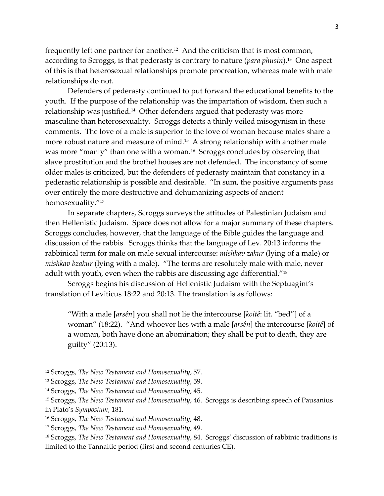frequently left one partner for another.<sup>12</sup> And the criticism that is most common, according to Scroggs, is that pederasty is contrary to nature (*para phusin*).<sup>13</sup> One aspect of this is that heterosexual relationships promote procreation, whereas male with male relationships do not.

Defenders of pederasty continued to put forward the educational benefits to the youth. If the purpose of the relationship was the impartation of wisdom, then such a relationship was justified.<sup>14</sup> Other defenders argued that pederasty was more masculine than heterosexuality. Scroggs detects a thinly veiled misogynism in these comments. The love of a male is superior to the love of woman because males share a more robust nature and measure of mind.<sup>15</sup> A strong relationship with another male was more "manly" than one with a woman. 16 Scroggs concludes by observing that slave prostitution and the brothel houses are not defended. The inconstancy of some older males is criticized, but the defenders of pederasty maintain that constancy in a pederastic relationship is possible and desirable. "In sum, the positive arguments pass over entirely the more destructive and dehumanizing aspects of ancient homosexuality."<sup>17</sup>

In separate chapters, Scroggs surveys the attitudes of Palestinian Judaism and then Hellenistic Judaism. Space does not allow for a major summary of these chapters. Scroggs concludes, however, that the language of the Bible guides the language and discussion of the rabbis. Scroggs thinks that the language of Lev. 20:13 informs the rabbinical term for male on male sexual intercourse: *mishkav zakur* (lying of a male) or *mishkav bzakur* (lying with a male). "The terms are resolutely male with male, never adult with youth, even when the rabbis are discussing age differential. $^{\prime\prime\,18}$ 

Scroggs begins his discussion of Hellenistic Judaism with the Septuagint's translation of Leviticus 18:22 and 20:13. The translation is as follows:

"With a male [*arsên*] you shall not lie the intercourse [*koitê*: lit. "bed"] of a woman" (18:22). "And whoever lies with a male [*arsên*] the intercourse [*koitê*] of a woman, both have done an abomination; they shall be put to death, they are guilty" (20:13).

<sup>12</sup> Scroggs, *The New Testament and Homosexuality*, 57.

<sup>13</sup> Scroggs, *The New Testament and Homosexuality*, 59.

<sup>14</sup> Scroggs, *The New Testament and Homosexuality*, 45.

<sup>15</sup> Scroggs, *The New Testament and Homosexuality*, 46. Scroggs is describing speech of Pausanius in Plato's *Symposium*, 181.

<sup>16</sup> Scroggs, *The New Testament and Homosexuality*, 48.

<sup>17</sup> Scroggs, *The New Testament and Homosexuality*, 49.

<sup>18</sup> Scroggs, *The New Testament and Homosexuality*, 84. Scroggs' discussion of rabbinic traditions is limited to the Tannaitic period (first and second centuries CE).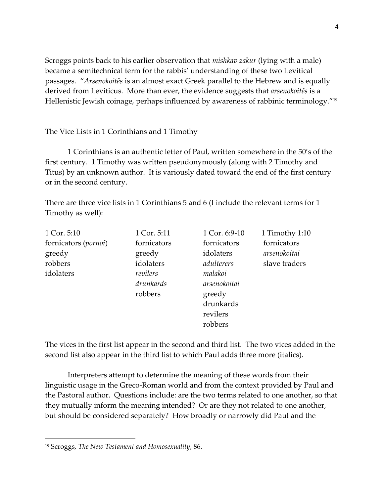Scroggs points back to his earlier observation that *mishkav zakur* (lying with a male) became a semitechnical term for the rabbis' understanding of these two Levitical passages. "*Arsenokoitês* is an almost exact Greek parallel to the Hebrew and is equally derived from Leviticus. More than ever, the evidence suggests that *arsenokoitês* is a Hellenistic Jewish coinage, perhaps influenced by awareness of rabbinic terminology."<sup>19</sup>

## The Vice Lists in 1 Corinthians and 1 Timothy

1 Corinthians is an authentic letter of Paul, written somewhere in the 50's of the first century. 1 Timothy was written pseudonymously (along with 2 Timothy and Titus) by an unknown author. It is variously dated toward the end of the first century or in the second century.

There are three vice lists in 1 Corinthians 5 and 6 (I include the relevant terms for 1 Timothy as well):

| 1 Cor. 5:10          | 1 Cor. 5:11 | 1 Cor. 6:9-10 | 1 Timothy 1:10 |
|----------------------|-------------|---------------|----------------|
| fornicators (pornoi) | fornicators | fornicators   | fornicators    |
| greedy               | greedy      | idolaters     | arsenokoitai   |
| robbers              | idolaters   | adulterers    | slave traders  |
| idolaters            | revilers    | malakoi       |                |
|                      | drunkards   | arsenokoitai  |                |
|                      | robbers     | greedy        |                |
|                      |             | drunkards     |                |
|                      |             | revilers      |                |
|                      |             | robbers       |                |

The vices in the first list appear in the second and third list. The two vices added in the second list also appear in the third list to which Paul adds three more (italics).

Interpreters attempt to determine the meaning of these words from their linguistic usage in the Greco-Roman world and from the context provided by Paul and the Pastoral author. Questions include: are the two terms related to one another, so that they mutually inform the meaning intended? Or are they not related to one another, but should be considered separately? How broadly or narrowly did Paul and the

<sup>19</sup> Scroggs, *The New Testament and Homosexuality*, 86.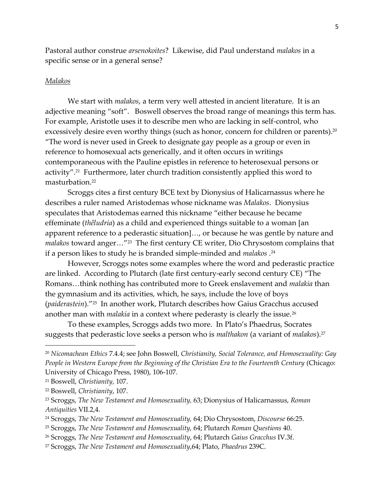Pastoral author construe *arsenokoites*? Likewise, did Paul understand *malakos* in a specific sense or in a general sense?

#### *Malakos*

We start with *malakos*, a term very well attested in ancient literature. It is an adjective meaning "soft". Boswell observes the broad range of meanings this term has. For example, Aristotle uses it to describe men who are lacking in self-control, who excessively desire even worthy things (such as honor, concern for children or parents).<sup>20</sup> "The word is never used in Greek to designate gay people as a group or even in reference to homosexual acts generically, and it often occurs in writings contemporaneous with the Pauline epistles in reference to heterosexual persons or activity".<sup>21</sup> Furthermore, later church tradition consistently applied this word to masturbation.<sup>22</sup>

Scroggs cites a first century BCE text by Dionysius of Halicarnassus where he describes a ruler named Aristodemas whose nickname was *Malakos*. Dionysius speculates that Aristodemas earned this nickname "either because he became effeminate (*thêludria*) as a child and experienced things suitable to a woman [an apparent reference to a pederastic situation]…, or because he was gentle by nature and *malakos* toward anger…"<sup>23</sup> The first century CE writer, Dio Chrysostom complains that if a person likes to study he is branded simple-minded and *malakos* . 24

However, Scroggs notes some examples where the word and pederastic practice are linked. According to Plutarch (late first century-early second century CE) "The Romans…think nothing has contributed more to Greek enslavement and *malakia* than the gymnasium and its activities, which, he says, include the love of boys (*paiderastein*)."<sup>25</sup> In another work, Plutarch describes how Gaius Gracchus accused another man with *malakia* in a context where pederasty is clearly the issue.<sup>26</sup>

To these examples, Scroggs adds two more. In Plato's Phaedrus, Socrates suggests that pederastic love seeks a person who is *malthakon* (a variant of *malakos*).<sup>27</sup>

<sup>20</sup> *Nicomachean Ethics* 7.4.4; see John Boswell, *Christianity, Social Tolerance, and Homosexuality: Gay People in Western Europe from the Beginning of the Christian Era to the Fourteenth Century* (Chicago: University of Chicago Press, 1980), 106-107.

<sup>21</sup> Boswell, *Christianity*, 107.

<sup>22</sup> Boswell, *Christianity*, 107.

<sup>23</sup> Scroggs, *The New Testament and Homosexuality,* 63; Dionysius of Halicarnassus, *Roman Antiquities* VII.2,4.

<sup>24</sup> Scroggs, *The New Testament and Homosexuality,* 64; Dio Chrysostom, *Discourse* 66:25.

<sup>25</sup> Scroggs, *The New Testament and Homosexuality,* 64; Plutarch *Roman Questions* 40.

<sup>26</sup> Scroggs, *The New Testament and Homosexuality*, 64; Plutarch *Gaius Gracchus* IV.3f.

<sup>27</sup> Scroggs, *The New Testament and Homosexuality*,64; Plato, *Phaedrus* 239C.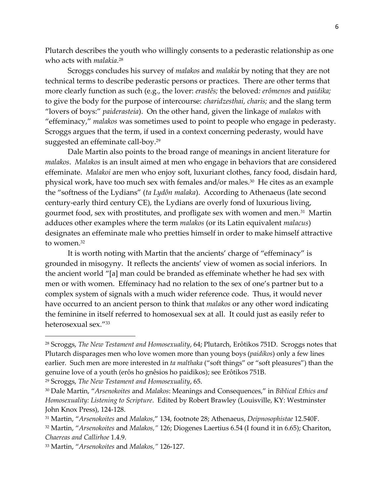Plutarch describes the youth who willingly consents to a pederastic relationship as one who acts with *malakia*. 28

Scroggs concludes his survey of *malakos* and *malakia* by noting that they are not technical terms to describe pederastic persons or practices. There are other terms that more clearly function as such (e.g., the lover: *erastês;* the beloved*: erômenos* and *paidika;*  to give the body for the purpose of intercourse: *charidzesthai, charis;* and the slang term "lovers of boys:" *paiderasteia*). On the other hand, given the linkage of *malakos* with "effeminacy," *malakos* was sometimes used to point to people who engage in pederasty. Scroggs argues that the term, if used in a context concerning pederasty, would have suggested an effeminate call-boy.<sup>29</sup>

Dale Martin also points to the broad range of meanings in ancient literature for *malakos*. *Malakos* is an insult aimed at men who engage in behaviors that are considered effeminate. *Malakoi* are men who enjoy soft, luxuriant clothes, fancy food, disdain hard, physical work, have too much sex with females and/or males.<sup>30</sup> He cites as an example the "softness of the Lydians" (*ta Lydôn malaka*). According to Athenaeus (late second century-early third century CE), the Lydians are overly fond of luxurious living, gourmet food, sex with prostitutes, and profligate sex with women and men. $^{\text{31}}$  Martin adduces other examples where the term *malakos* (or its Latin equivalent *malacus*) designates an effeminate male who pretties himself in order to make himself attractive to women.<sup>32</sup>

It is worth noting with Martin that the ancients' charge of "effeminacy" is grounded in misogyny. It reflects the ancients' view of women as social inferiors. In the ancient world "[a] man could be branded as effeminate whether he had sex with men or with women. Effeminacy had no relation to the sex of one's partner but to a complex system of signals with a much wider reference code. Thus, it would never have occurred to an ancient person to think that *malakos* or any other word indicating the feminine in itself referred to homosexual sex at all. It could just as easily refer to heterosexual sex."<sup>33</sup>

<sup>29</sup> Scroggs, *The New Testament and Homosexuality*, 65.

<sup>28</sup> Scroggs, *The New Testament and Homosexuality*, 64; Plutarch, Erôtikos 751D. Scroggs notes that Plutarch disparages men who love women more than young boys (*paidikos*) only a few lines earlier. Such men are more interested in *ta malthaka* ("soft things" or "soft pleasures") than the genuine love of a youth (erôs ho gnêsios ho paidikos); see Erôtikos 751B.

<sup>30</sup> Dale Martin, "*Arsenokoites* and *Malakos*: Meanings and Consequences," in *Biblical Ethics and Homosexuality: Listening to Scripture*. Edited by Robert Brawley (Louisville, KY: Westminster John Knox Press), 124-128.

<sup>31</sup> Martin, "*Arsenokoites* and *Malakos*," 134, footnote 28; Athenaeus, *Deipnosophistae* 12.540F.

<sup>32</sup> Martin, "*Arsenokoites* and *Malakos,"* 126; Diogenes Laertius 6.54 (I found it in 6.65); Chariton, *Chaereas and Callirhoe* 1.4.9.

<sup>33</sup> Martin, "*Arsenokoites* and *Malakos,"* 126-127.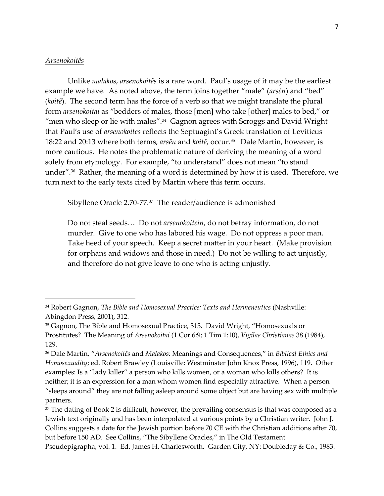### *Arsenokoitês*

Unlike *malakos*, *arsenokoitês* is a rare word. Paul's usage of it may be the earliest example we have. As noted above, the term joins together "male" (*arsên*) and "bed" (*koitê*). The second term has the force of a verb so that we might translate the plural form *arsenokoitai* as "bedders of males, those [men] who take [other] males to bed," or "men who sleep or lie with males". $^{\rm 34}$  Gagnon agrees with Scroggs and David Wright that Paul's use of *arsenokoites* reflects the Septuagint's Greek translation of Leviticus 18:22 and 20:13 where both terms, *arsên* and *koitê*, occur.<sup>35</sup> Dale Martin, however, is more cautious. He notes the problematic nature of deriving the meaning of a word solely from etymology. For example, "to understand" does not mean "to stand under".<sup>36</sup> Rather, the meaning of a word is determined by how it is used. Therefore, we turn next to the early texts cited by Martin where this term occurs.

Sibyllene Oracle 2.70-77. 37 The reader/audience is admonished

Do not steal seeds… Do not *arsenokoitein*, do not betray information, do not murder. Give to one who has labored his wage. Do not oppress a poor man. Take heed of your speech. Keep a secret matter in your heart. (Make provision for orphans and widows and those in need.) Do not be willing to act unjustly, and therefore do not give leave to one who is acting unjustly.

<sup>34</sup> Robert Gagnon, *The Bible and Homosexual Practice: Texts and Hermeneutics* (Nashville: Abingdon Press, 2001), 312.

<sup>35</sup> Gagnon, The Bible and Homosexual Practice, 315. David Wright, "Homosexuals or Prostitutes? The Meaning of *Arsenokoitai* (1 Cor 6:9; 1 Tim 1:10), *Vigilae Christianae* 38 (1984), 129.

<sup>36</sup> Dale Martin, "*Arsenokoitês* and *Malakos:* Meanings and Consequences," in *Biblical Ethics and Homosexuality*; ed. Robert Brawley (Louisville: Westminster John Knox Press, 1996), 119. Other examples: Is a "lady killer" a person who kills women, or a woman who kills others? It is neither; it is an expression for a man whom women find especially attractive. When a person "sleeps around" they are not falling asleep around some object but are having sex with multiple partners.

<sup>&</sup>lt;sup>37</sup> The dating of Book 2 is difficult; however, the prevailing consensus is that was composed as a Jewish text originally and has been interpolated at various points by a Christian writer. John J. Collins suggests a date for the Jewish portion before 70 CE with the Christian additions after 70, but before 150 AD. See Collins, "The Sibyllene Oracles," in The Old Testament Pseudepigrapha, vol. 1. Ed. James H. Charlesworth. Garden City, NY: Doubleday & Co., 1983.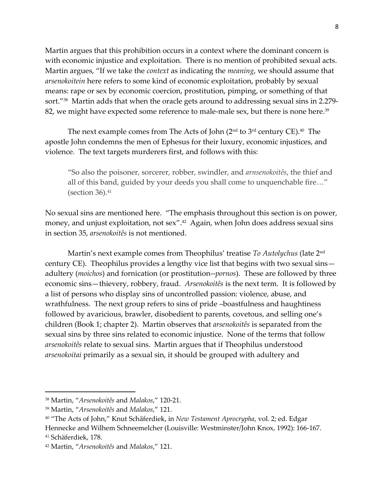Martin argues that this prohibition occurs in a context where the dominant concern is with economic injustice and exploitation. There is no mention of prohibited sexual acts. Martin argues, "If we take the *context* as indicating the *meaning*, we should assume that *arsenokoitein* here refers to some kind of economic exploitation, probably by sexual means: rape or sex by economic coercion, prostitution, pimping, or something of that sort."<sup>38</sup> Martin adds that when the oracle gets around to addressing sexual sins in 2.279- 82, we might have expected some reference to male-male sex, but there is none here. 39

The next example comes from The Acts of John (2 $^{\rm{nd}}$  to 3 $^{\rm{rd}}$  century CE). $^{40}$  The apostle John condemns the men of Ephesus for their luxury, economic injustices, and violence. The text targets murderers first, and follows with this:

"So also the poisoner, sorcerer, robber, swindler, and *arnsenokoitês*, the thief and all of this band, guided by your deeds you shall come to unquenchable fire…" (section  $36$ ). $41$ 

No sexual sins are mentioned here. "The emphasis throughout this section is on power, money, and unjust exploitation, not sex". <sup>42</sup> Again, when John does address sexual sins in section 35, *arsenokoitês* is not mentioned.

Martin's next example comes from Theophilus' treatise *To Autolychus* (late 2nd century CE). Theophilus provides a lengthy vice list that begins with two sexual sins adultery (*moichos*) and fornication (or prostitution--*pornos*). These are followed by three economic sins—thievery, robbery, fraud. *Arsenokoitês* is the next term. It is followed by a list of persons who display sins of uncontrolled passion: violence, abuse, and wrathfulness. The next group refers to sins of pride –boastfulness and haughtiness followed by avaricious, brawler, disobedient to parents, covetous, and selling one's children (Book 1; chapter 2). Martin observes that *arsenokoitês* is separated from the sexual sins by three sins related to economic injustice. None of the terms that follow *arsenokoitês* relate to sexual sins. Martin argues that if Theophilus understood *arsenokoitai* primarily as a sexual sin, it should be grouped with adultery and

<sup>38</sup> Martin, "*Arsenokoitês* and *Malakos*," 120-21.

<sup>39</sup> Martin, "*Arsenokoitês* and *Malakos*," 121.

<sup>40</sup> "The Acts of John," Knut Schäferdiek, in *New Testament Aprocrypha*, vol. 2; ed. Edgar Hennecke and Wilhem Schneemelcher (Louisville: Westminster/John Knox, 1992): 166-167. <sup>41</sup> Schäferdiek, 178.

<sup>42</sup> Martin, "*Arsenokoitês* and *Malakos*," 121.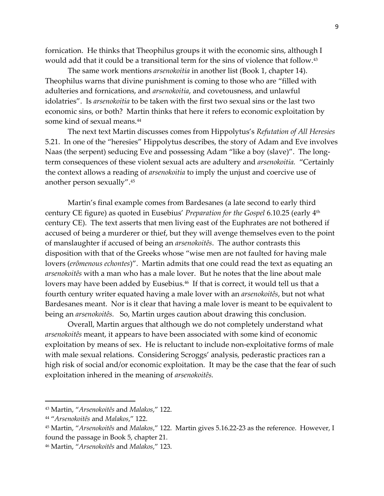fornication. He thinks that Theophilus groups it with the economic sins, although I would add that it could be a transitional term for the sins of violence that follow. 43

The same work mentions *arsenokoitia* in another list (Book 1, chapter 14). Theophilus warns that divine punishment is coming to those who are "filled with adulteries and fornications, and *arsenokoitia*, and covetousness, and unlawful idolatries". Is *arsenokoitia* to be taken with the first two sexual sins or the last two economic sins, or both? Martin thinks that here it refers to economic exploitation by some kind of sexual means.<sup>44</sup>

The next text Martin discusses comes from Hippolytus's *Refutation of All Heresies* 5.21. In one of the "heresies" Hippolytus describes, the story of Adam and Eve involves Naas (the serpent) seducing Eve and possessing Adam "like a boy (slave)". The longterm consequences of these violent sexual acts are adultery and *arsenokoitia.* "Certainly the context allows a reading of *arsenokoitia* to imply the unjust and coercive use of another person sexually".<sup>45</sup>

Martin's final example comes from Bardesanes (a late second to early third century CE figure) as quoted in Eusebius' *Preparation for the Gospel* 6.10.25 (early 4th century CE). The text asserts that men living east of the Euphrates are not bothered if accused of being a murderer or thief, but they will avenge themselves even to the point of manslaughter if accused of being an *arsenokoitês*. The author contrasts this disposition with that of the Greeks whose "wise men are not faulted for having male lovers (*erômenous echontes*)". Martin admits that one could read the text as equating an *arsenokoitês* with a man who has a male lover. But he notes that the line about male lovers may have been added by Eusebius.<sup>46</sup> If that is correct, it would tell us that a fourth century writer equated having a male lover with an *arsenokoitês*, but not what Bardesanes meant. Nor is it clear that having a male lover is meant to be equivalent to being an *arsenokoitês.* So, Martin urges caution about drawing this conclusion.

Overall, Martin argues that although we do not completely understand what *arsenokoitês* meant, it appears to have been associated with some kind of economic exploitation by means of sex. He is reluctant to include non-exploitative forms of male with male sexual relations. Considering Scroggs' analysis, pederastic practices ran a high risk of social and/or economic exploitation. It may be the case that the fear of such exploitation inhered in the meaning of *arsenokoitês.*

<sup>43</sup> Martin, "*Arsenokoitês* and *Malakos*," 122.

<sup>44</sup> "*Arsenokoitês* and *Malakos*," 122.

<sup>45</sup> Martin, "*Arsenokoitês* and *Malakos*," 122. Martin gives 5.16.22-23 as the reference. However, I found the passage in Book 5, chapter 21.

<sup>46</sup> Martin, "*Arsenokoitês* and *Malakos*," 123.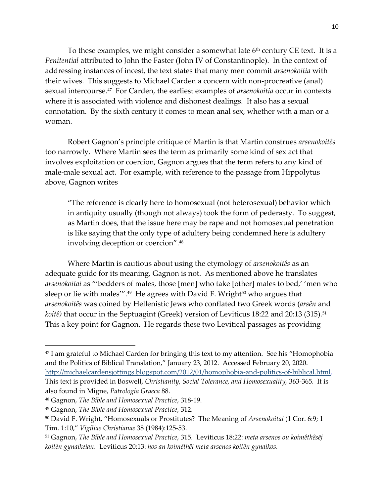To these examples, we might consider a somewhat late  $6<sup>th</sup>$  century CE text. It is a *Penitential* attributed to John the Faster (John IV of Constantinople). In the context of addressing instances of incest, the text states that many men commit *arsenokoitia* with their wives. This suggests to Michael Carden a concern with non-procreative (anal) sexual intercourse.<sup>47</sup> For Carden, the earliest examples of *arsenokoitia* occur in contexts where it is associated with violence and dishonest dealings. It also has a sexual connotation. By the sixth century it comes to mean anal sex, whether with a man or a woman.

Robert Gagnon's principle critique of Martin is that Martin construes *arsenokoitês*  too narrowly. Where Martin sees the term as primarily some kind of sex act that involves exploitation or coercion, Gagnon argues that the term refers to any kind of male-male sexual act. For example, with reference to the passage from Hippolytus above, Gagnon writes

"The reference is clearly here to homosexual (not heterosexual) behavior which in antiquity usually (though not always) took the form of pederasty. To suggest, as Martin does, that the issue here may be rape and not homosexual penetration is like saying that the only type of adultery being condemned here is adultery involving deception or coercion". 48

Where Martin is cautious about using the etymology of *arsenokoitês* as an adequate guide for its meaning, Gagnon is not. As mentioned above he translates *arsenokoitai* as "'bedders of males, those [men] who take [other] males to bed,' 'men who sleep or lie with males'". 49 He agrees with David F. Wright<sup>50</sup> who argues that *arsenokoitês* was coined by Hellenistic Jews who conflated two Greek words (*arsên* and *koitê*) that occur in the Septuagint (Greek) version of Leviticus 18:22 and 20:13 (315).<sup>51</sup> This a key point for Gagnon. He regards these two Levitical passages as providing

<sup>&</sup>lt;sup>47</sup> I am grateful to Michael Carden for bringing this text to my attention. See his "Homophobia" and the Politics of Biblical Translation," January 23, 2012. Accessed February 20, 2020. [http://michaelcardensjottings.blogspot.com/2012/01/homophobia-and-politics-of-biblical.html.](http://michaelcardensjottings.blogspot.com/2012/01/homophobia-and-politics-of-biblical.html) This text is provided in Boswell, *Christianity, Social Tolerance, and Homosexuality,* 363-365. It is also found in Migne, *Patrologia Graeca* 88.

<sup>48</sup> Gagnon, *The Bible and Homosexual Practice*, 318-19.

<sup>49</sup> Gagnon, *The Bible and Homosexual Practice*, 312.

<sup>50</sup> David F. Wright, "Homosexuals or Prostitutes? The Meaning of *Arsenokoitai* (1 Cor. 6:9; 1 Tim. 1:10," *Vigiliae Christianae* 38 (1984):125-53.

<sup>51</sup> Gagnon, *The Bible and Homosexual Practice*, 315. Leviticus 18:22: *meta arsenos ou koimêthêsēͅi koitên gynaikeian*. Leviticus 20:13: *hos an koimêthêi meta arsenos koitên gynaikos.*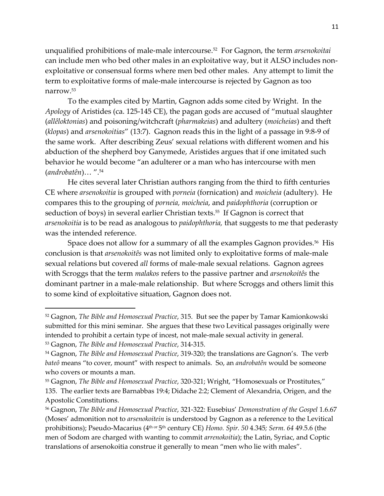unqualified prohibitions of male-male intercourse. 52 For Gagnon, the term *arsenokoitai* can include men who bed other males in an exploitative way, but it ALSO includes nonexploitative or consensual forms where men bed other males. Any attempt to limit the term to exploitative forms of male-male intercourse is rejected by Gagnon as too narrow.<sup>53</sup>

To the examples cited by Martin, Gagnon adds some cited by Wright. In the *Apology* of Aristides (ca. 125-145 CE), the pagan gods are accused of "mutual slaughter (*allêloktonias*) and poisoning/witchcraft (*pharmakeias*) and adultery (*moicheias*) and theft (*klopas*) and *arsenokoitias*" (13:7). Gagnon reads this in the light of a passage in 9:8-9 of the same work. After describing Zeus' sexual relations with different women and his abduction of the shepherd boy Ganymede, Aristides argues that if one imitated such behavior he would become "an adulterer or a man who has intercourse with men (*androbatên*)… ".<sup>54</sup>

He cites several later Christian authors ranging from the third to fifth centuries CE where *arsenokoitia* is grouped with *porneia* (fornication) and *moicheia* (adultery). He compares this to the grouping of *porneia, moicheia*, and *paidophthoria* (corruption or seduction of boys) in several earlier Christian texts.<sup>55</sup> If Gagnon is correct that *arsenokoitia* is to be read as analogous to *paidophthoria,* that suggests to me that pederasty was the intended reference.

Space does not allow for a summary of all the examples Gagnon provides. 56 His conclusion is that *arsenokoitês* was not limited only to exploitative forms of male-male sexual relations but covered *all* forms of male-male sexual relations. Gagnon agrees with Scroggs that the term *malakos* refers to the passive partner and *arsenokoitês* the dominant partner in a male-male relationship. But where Scroggs and others limit this to some kind of exploitative situation, Gagnon does not.

<sup>52</sup> Gagnon, *The Bible and Homosexual Practice*, 315. But see the paper by Tamar Kamionkowski submitted for this mini seminar. She argues that these two Levitical passages originally were intended to prohibit a certain type of incest, not male-male sexual activity in general. <sup>53</sup> Gagnon, *The Bible and Homosexual Practice*, 314-315.

<sup>54</sup> Gagnon, *The Bible and Homosexual Practice*, 319-320; the translations are Gagnon's. The verb *bateô* means "to cover, mount" with respect to animals. So, an *androbatên* would be someone who covers or mounts a man.

<sup>55</sup> Gagnon, *The Bible and Homosexual Practice*, 320-321; Wright, "Homosexuals or Prostitutes," 135. The earlier texts are Barnabbas 19:4; Didache 2:2; Clement of Alexandria, Origen, and the Apostolic Constitutions.

<sup>56</sup> Gagnon, *The Bible and Homosexual Practice*, 321-322: Eusebius' *Demonstration of the Gospel* 1.6.67 (Moses' admonition not to *arsenokoitein* is understood by Gagnon as a reference to the Levitical prohibitions); Pseudo-Macarius (4<sup>th or</sup> 5<sup>th</sup> century CE) *Homo. Spir. 50 4.345; Serm. 64 4*9.5.6 (the men of Sodom are charged with wanting to commit *arrenokoitia*); the Latin, Syriac, and Coptic translations of arsenokoitia construe it generally to mean "men who lie with males".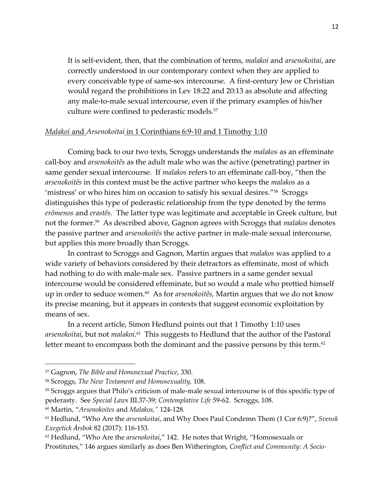It is self-evident, then, that the combination of terms, *malakoi* and *arsenokoitai*, are correctly understood in our contemporary context when they are applied to every conceivable type of same-sex intercourse. A first-century Jew or Christian would regard the prohibitions in Lev 18:22 and 20:13 as absolute and affecting any male-to-male sexual intercourse, even if the primary examples of his/her culture were confined to pederastic models.<sup>57</sup>

### *Malakoi* and *Arsenokoitai* in 1 Corinthians 6:9-10 and 1 Timothy 1:10

Coming back to our two texts, Scroggs understands the *malakos* as an effeminate call-boy and *arsenokoitês* as the adult male who was the active (penetrating) partner in same gender sexual intercourse. If *malakos* refers to an effeminate call-boy, "then the *arsenokoitês* in this context must be the active partner who keeps the *malakos* as a 'mistress' or who hires him on occasion to satisfy his sexual desires."<sup>58</sup> Scroggs distinguishes this type of pederastic relationship from the type denoted by the terms *erômenos* and *erastês*. The latter type was legitimate and acceptable in Greek culture, but not the former.<sup>59</sup> As described above, Gagnon agrees with Scroggs that *malakos* denotes the passive partner and *arsenokoitês* the active partner in male-male sexual intercourse, but applies this more broadly than Scroggs.

In contrast to Scroggs and Gagnon, Martin argues that *malakos* was applied to a wide variety of behaviors considered by their detractors as effeminate, most of which had nothing to do with male-male sex. Passive partners in a same gender sexual intercourse would be considered effeminate, but so would a male who prettied himself up in order to seduce women.<sup>60</sup> As for *arsenokoitês,* Martin argues that we do not know its precise meaning, but it appears in contexts that suggest economic exploitation by means of sex.

In a recent article, Simon Hedlund points out that 1 Timothy 1:10 uses *arsenokoitai,* but not *malakoi*.<sup>61</sup> This suggests to Hedlund that the author of the Pastoral letter meant to encompass both the dominant and the passive persons by this term. $62$ 

<sup>60</sup> Martin, "*Arsenokoites* and *Malakos,"* 124-128*.*

<sup>57</sup> Gagnon, *The Bible and Homosexual Practice*, 330.

<sup>58</sup> Scroggs, *The New Testament and Homosexuality,* 108.

<sup>59</sup> Scroggs argues that Philo's criticism of male-male sexual intercourse is of this specific type of pederasty. See *Special Laws* III.37-39; *Contemplative Life* 59-62. Scroggs, 108.

<sup>61</sup> Hedlund, "Who Are the *arsenokoitai*, and Why Does Paul Condemn Them (1 Cor 6:9)?", *Svensk Exegetick Ȧrsbok* 82 (2017): 116-153.

<sup>62</sup> Hedlund, "Who Are the *arsenokoitai*," 142. He notes that Wright, "Homosexuals or Prostitutes," 146 argues similarly as does Ben Witherington, *Conflict and Community: A Socio-*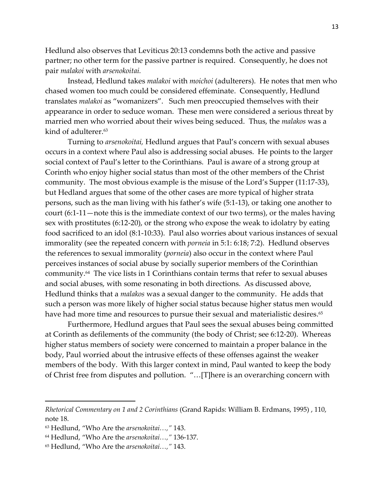Hedlund also observes that Leviticus 20:13 condemns both the active and passive partner; no other term for the passive partner is required. Consequently, he does not pair *malakoi* with *arsenokoitai.*

Instead, Hedlund takes *malakoi* with *moichoi* (adulterers). He notes that men who chased women too much could be considered effeminate. Consequently, Hedlund translates *malakoi* as "womanizers". Such men preoccupied themselves with their appearance in order to seduce woman. These men were considered a serious threat by married men who worried about their wives being seduced. Thus, the *malakos* was a kind of adulterer.<sup>63</sup>

Turning to *arsenokoitai,* Hedlund argues that Paul's concern with sexual abuses occurs in a context where Paul also is addressing social abuses. He points to the larger social context of Paul's letter to the Corinthians. Paul is aware of a strong group at Corinth who enjoy higher social status than most of the other members of the Christ community. The most obvious example is the misuse of the Lord's Supper (11:17-33), but Hedland argues that some of the other cases are more typical of higher strata persons, such as the man living with his father's wife (5:1-13), or taking one another to court (6:1-11—note this is the immediate context of our two terms), or the males having sex with prostitutes (6:12-20), or the strong who expose the weak to idolatry by eating food sacrificed to an idol (8:1-10:33). Paul also worries about various instances of sexual immorality (see the repeated concern with *porneia* in 5:1: 6:18; 7:2). Hedlund observes the references to sexual immorality (*porneia*) also occur in the context where Paul perceives instances of social abuse by socially superior members of the Corinthian community.<sup>64</sup> The vice lists in 1 Corinthians contain terms that refer to sexual abuses and social abuses, with some resonating in both directions. As discussed above, Hedlund thinks that a *malakos* was a sexual danger to the community. He adds that such a person was more likely of higher social status because higher status men would have had more time and resources to pursue their sexual and materialistic desires. 65

Furthermore, Hedlund argues that Paul sees the sexual abuses being committed at Corinth as defilements of the community (the body of Christ; see 6:12-20). Whereas higher status members of society were concerned to maintain a proper balance in the body, Paul worried about the intrusive effects of these offenses against the weaker members of the body. With this larger context in mind, Paul wanted to keep the body of Christ free from disputes and pollution. "…[T]here is an overarching concern with

*Rhetorical Commentary on 1 and 2 Corinthians* (Grand Rapids: William B. Erdmans, 1995) , 110, note 18.

<sup>63</sup> Hedlund, "Who Are the *arsenokoitai…,"* 143.

<sup>64</sup> Hedlund, "Who Are the *arsenokoitai…,"* 136-137.

<sup>65</sup> Hedlund, "Who Are the *arsenokoitai…,"* 143.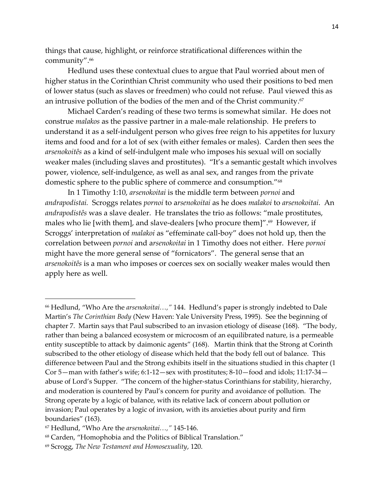things that cause, highlight, or reinforce stratificational differences within the community". 66

Hedlund uses these contextual clues to argue that Paul worried about men of higher status in the Corinthian Christ community who used their positions to bed men of lower status (such as slaves or freedmen) who could not refuse. Paul viewed this as an intrusive pollution of the bodies of the men and of the Christ community. 67

Michael Carden's reading of these two terms is somewhat similar. He does not construe *malakos* as the passive partner in a male-male relationship. He prefers to understand it as a self-indulgent person who gives free reign to his appetites for luxury items and food and for a lot of sex (with either females or males). Carden then sees the *arsenokoitês* as a kind of self-indulgent male who imposes his sexual will on socially weaker males (including slaves and prostitutes). "It's a semantic gestalt which involves power, violence, self-indulgence, as well as anal sex, and ranges from the private domestic sphere to the public sphere of commerce and consumption."<sup>68</sup>

In 1 Timothy 1:10, *arsenokoitai* is the middle term between *pornoi* and *andrapodistai.* Scroggs relates *pornoi* to a*rsenokoitai* as he does *malakoi* to *arsenokoitai*. An *andrapodistês* was a slave dealer. He translates the trio as follows: "male prostitutes, males who lie [with them], and slave-dealers [who procure them]".<sup>69</sup> However, if Scroggs' interpretation of *malakoi* as "effeminate call-boy" does not hold up, then the correlation between *pornoi* and a*rsenokoitai* in 1 Timothy does not either. Here *pornoi* might have the more general sense of "fornicators". The general sense that an *arsenokoitês* is a man who imposes or coerces sex on socially weaker males would then apply here as well.

<sup>66</sup> Hedlund, "Who Are the *arsenokoitai…,"* 144. Hedlund's paper is strongly indebted to Dale Martin's *The Corinthian Body* (New Haven: Yale University Press, 1995). See the beginning of chapter 7. Martin says that Paul subscribed to an invasion etiology of disease (168). "The body, rather than being a balanced ecosystem or microcosm of an equilibrated nature, is a permeable entity susceptible to attack by daimonic agents" (168). Martin think that the Strong at Corinth subscribed to the other etiology of disease which held that the body fell out of balance. This difference between Paul and the Strong exhibits itself in the situations studied in this chapter (1 Cor 5—man with father's wife; 6:1-12—sex with prostitutes; 8-10—food and idols; 11:17-34 abuse of Lord's Supper. "The concern of the higher-status Corinthians for stability, hierarchy, and moderation is countered by Paul's concern for purity and avoidance of pollution. The Strong operate by a logic of balance, with its relative lack of concern about pollution or invasion; Paul operates by a logic of invasion, with its anxieties about purity and firm boundaries" (163).

<sup>67</sup> Hedlund, "Who Are the *arsenokoitai…,"* 145-146.

<sup>68</sup> Carden, "Homophobia and the Politics of Biblical Translation."

<sup>69</sup> Scrogg, *The New Testament and Homosexuality*, 120.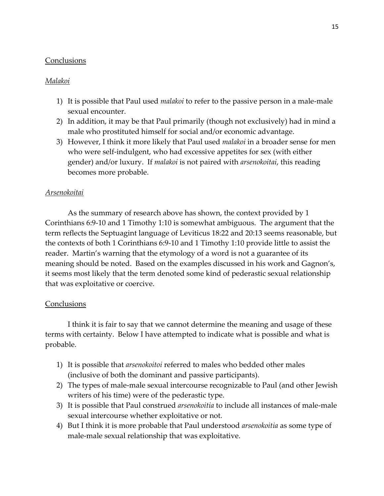## **Conclusions**

## *Malakoi*

- 1) It is possible that Paul used *malakoi* to refer to the passive person in a male-male sexual encounter.
- 2) In addition, it may be that Paul primarily (though not exclusively) had in mind a male who prostituted himself for social and/or economic advantage.
- 3) However, I think it more likely that Paul used *malakoi* in a broader sense for men who were self-indulgent, who had excessive appetites for sex (with either gender) and/or luxury. If *malakoi* is not paired with *arsenokoitai*, this reading becomes more probable.

## *Arsenokoitai*

As the summary of research above has shown, the context provided by 1 Corinthians 6:9-10 and 1 Timothy 1:10 is somewhat ambiguous. The argument that the term reflects the Septuagint language of Leviticus 18:22 and 20:13 seems reasonable, but the contexts of both 1 Corinthians 6:9-10 and 1 Timothy 1:10 provide little to assist the reader. Martin's warning that the etymology of a word is not a guarantee of its meaning should be noted. Based on the examples discussed in his work and Gagnon's, it seems most likely that the term denoted some kind of pederastic sexual relationship that was exploitative or coercive.

## **Conclusions**

I think it is fair to say that we cannot determine the meaning and usage of these terms with certainty. Below I have attempted to indicate what is possible and what is probable.

- 1) It is possible that *arsenokoitoi* referred to males who bedded other males (inclusive of both the dominant and passive participants).
- 2) The types of male-male sexual intercourse recognizable to Paul (and other Jewish writers of his time) were of the pederastic type.
- 3) It is possible that Paul construed *arsenokoitia* to include all instances of male-male sexual intercourse whether exploitative or not.
- 4) But I think it is more probable that Paul understood *arsenokoitia* as some type of male-male sexual relationship that was exploitative.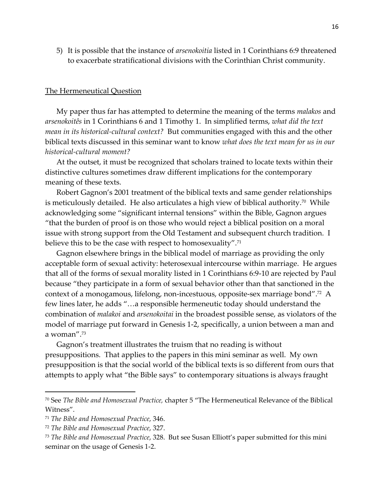5) It is possible that the instance of *arsenokoitia* listed in 1 Corinthians 6:9 threatened to exacerbate stratificational divisions with the Corinthian Christ community.

#### The Hermeneutical Question

My paper thus far has attempted to determine the meaning of the terms *malakos* and *arsenokoitês* in 1 Corinthians 6 and 1 Timothy 1. In simplified terms, *what did the text mean in its historical-cultural context?* But communities engaged with this and the other biblical texts discussed in this seminar want to know *what does the text mean for us in our historical-cultural moment?*

At the outset, it must be recognized that scholars trained to locate texts within their distinctive cultures sometimes draw different implications for the contemporary meaning of these texts.

Robert Gagnon's 2001 treatment of the biblical texts and same gender relationships is meticulously detailed. He also articulates a high view of biblical authority. $^{70}\,$  While  $\,$ acknowledging some "significant internal tensions" within the Bible, Gagnon argues "that the burden of proof is on those who would reject a biblical position on a moral issue with strong support from the Old Testament and subsequent church tradition. I believe this to be the case with respect to homosexuality".<sup>71</sup>

Gagnon elsewhere brings in the biblical model of marriage as providing the only acceptable form of sexual activity: heterosexual intercourse within marriage. He argues that all of the forms of sexual morality listed in 1 Corinthians 6:9-10 are rejected by Paul because "they participate in a form of sexual behavior other than that sanctioned in the context of a monogamous, lifelong, non-incestuous, opposite-sex marriage bond".<sup>72</sup> A few lines later, he adds "…a responsible hermeneutic today should understand the combination of *malakoi* and *arsenokoitai* in the broadest possible sense, as violators of the model of marriage put forward in Genesis 1-2, specifically, a union between a man and a woman".<sup>73</sup>

Gagnon's treatment illustrates the truism that no reading is without presuppositions. That applies to the papers in this mini seminar as well. My own presupposition is that the social world of the biblical texts is so different from ours that attempts to apply what "the Bible says" to contemporary situations is always fraught

<sup>70</sup> See *The Bible and Homosexual Practice,* chapter 5 "The Hermeneutical Relevance of the Biblical Witness".

<sup>71</sup> *The Bible and Homosexual Practice*, 346.

<sup>72</sup> *The Bible and Homosexual Practice*, 327.

<sup>73</sup> *The Bible and Homosexual Practice*, 328. But see Susan Elliott's paper submitted for this mini seminar on the usage of Genesis 1-2.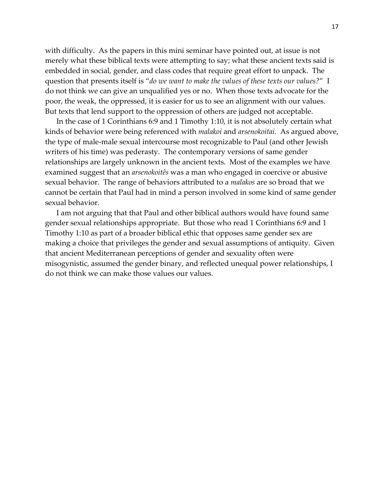with difficulty. As the papers in this mini seminar have pointed out, at issue is not merely what these biblical texts were attempting to say; what these ancient texts said is embedded in social, gender, and class codes that require great effort to unpack. The question that presents itself is "*do we want to make the values of these texts our values?*" I do not think we can give an unqualified yes or no. When those texts advocate for the poor, the weak, the oppressed, it is easier for us to see an alignment with our values. But texts that lend support to the oppression of others are judged not acceptable.

In the case of 1 Corinthians 6:9 and 1 Timothy 1:10, it is not absolutely certain what kinds of behavior were being referenced with *malakoi* and *arsenokoitai.* As argued above, the type of male-male sexual intercourse most recognizable to Paul (and other Jewish writers of his time) was pederasty. The contemporary versions of same gender relationships are largely unknown in the ancient texts. Most of the examples we have examined suggest that an *arsenokoitês* was a man who engaged in coercive or abusive sexual behavior. The range of behaviors attributed to a *malakos* are so broad that we cannot be certain that Paul had in mind a person involved in some kind of same gender sexual behavior.

I am not arguing that that Paul and other biblical authors would have found same gender sexual relationships appropriate. But those who read 1 Corinthians 6:9 and 1 Timothy 1:10 as part of a broader biblical ethic that opposes same gender sex are making a choice that privileges the gender and sexual assumptions of antiquity. Given that ancient Mediterranean perceptions of gender and sexuality often were misogynistic, assumed the gender binary, and reflected unequal power relationships, I do not think we can make those values our values.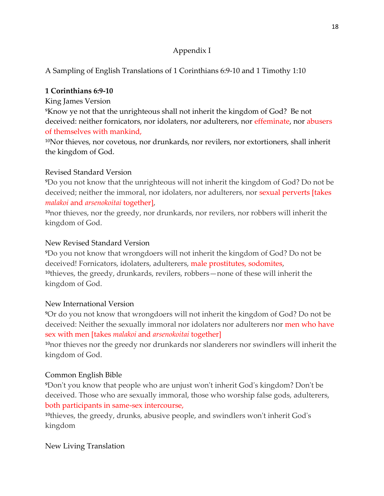# Appendix I

A Sampling of English Translations of 1 Corinthians 6:9-10 and 1 Timothy 1:10

# **1 Corinthians 6:9-10**

King James Version

⁹Know ye not that the unrighteous shall not inherit the kingdom of God? Be not deceived: neither fornicators, nor idolaters, nor adulterers, nor effeminate, nor abusers of themselves with mankind,

<sup>10</sup>Nor thieves, nor covetous, nor drunkards, nor revilers, nor extortioners, shall inherit the kingdom of God.

# Revised Standard Version

⁹Do you not know that the unrighteous will not inherit the kingdom of God? Do not be deceived; neither the immoral, nor idolaters, nor adulterers, nor sexual perverts [takes *malakoi* and *arsenokoitai* together],

<sup>10</sup>nor thieves, nor the greedy, nor drunkards, nor revilers, nor robbers will inherit the kingdom of God.

# New Revised Standard Version

⁹Do you not know that wrongdoers will not inherit the kingdom of God? Do not be deceived! Fornicators, idolaters, adulterers, male prostitutes, sodomites, <sup>10</sup>thieves, the greedy, drunkards, revilers, robbers—none of these will inherit the kingdom of God.

# New International Version

⁹Or do you not know that wrongdoers will not inherit the kingdom of God? Do not be deceived: Neither the sexually immoral nor idolaters nor adulterers nor men who have sex with men [takes *malakoi* and *arsenokoitai* together]

<sup>10</sup>nor thieves nor the greedy nor drunkards nor slanderers nor swindlers will inherit the kingdom of God.

# Common English Bible

⁹Don't you know that people who are unjust won't inherit God's kingdom? Don't be deceived. Those who are sexually immoral, those who worship false gods, adulterers, both participants in same-sex intercourse,

<sup>10</sup>thieves, the greedy, drunks, abusive people, and swindlers won't inherit God's kingdom

New Living Translation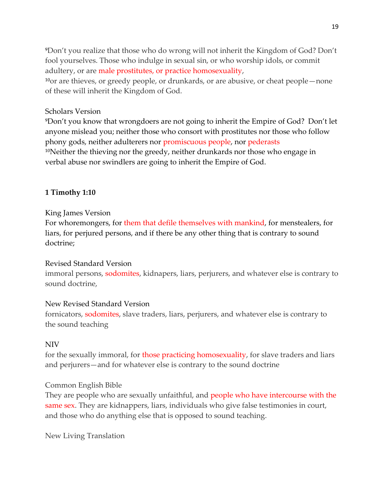⁹Don't you realize that those who do wrong will not inherit the Kingdom of God? Don't fool yourselves. Those who indulge in sexual sin, or who worship idols, or commit adultery, or are male prostitutes, or practice homosexuality,  $\frac{10}{10}$  are thieves, or greedy people, or drunkards, or are abusive, or cheat people—none

### Scholars Version

of these will inherit the Kingdom of God.

⁹Don't you know that wrongdoers are not going to inherit the Empire of God? Don't let anyone mislead you; neither those who consort with prostitutes nor those who follow phony gods, neither adulterers nor promiscuous people, nor pederasts  $10$ Neither the thieving nor the greedy, neither drunkards nor those who engage in verbal abuse nor swindlers are going to inherit the Empire of God.

### **1 Timothy 1:10**

### King James Version

For whoremongers, for them that defile themselves with mankind, for menstealers, for liars, for perjured persons, and if there be any other thing that is contrary to sound doctrine;

### Revised Standard Version

immoral persons, sodomites, kidnapers, liars, perjurers, and whatever else is contrary to sound doctrine,

### New Revised Standard Version

fornicators, sodomites, slave traders, liars, perjurers, and whatever else is contrary to the sound teaching

### NIV

for the sexually immoral, for those practicing homosexuality, for slave traders and liars and perjurers—and for whatever else is contrary to the sound doctrine

### Common English Bible

They are people who are sexually unfaithful, and people who have intercourse with the same sex. They are kidnappers, liars, individuals who give false testimonies in court, and those who do anything else that is opposed to sound teaching.

New Living Translation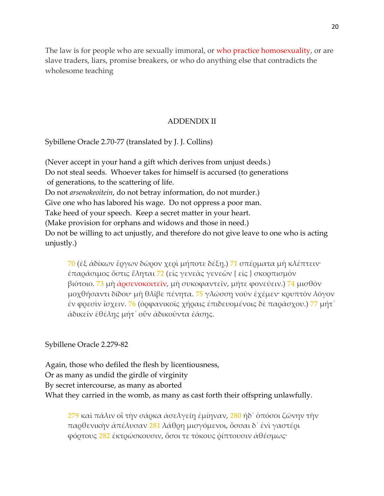The law is for people who are sexually immoral, or who practice homosexuality, or are slave traders, liars, promise breakers, or who do anything else that contradicts the wholesome teaching

### ADDENDIX II

Sybillene Oracle 2.70-77 (translated by J. J. Collins)

(Never accept in your hand a gift which derives from unjust deeds.) Do not steal seeds. Whoever takes for himself is accursed (to generations of generations, to the scattering of life. Do not *arsenokeoitein*, do not betray information, do not murder.) Give one who has labored his wage. Do not oppress a poor man. Take heed of your speech. Keep a secret matter in your heart. (Make provision for orphans and widows and those in need.) Do not be willing to act unjustly, and therefore do not give leave to one who is acting unjustly.)

**70** (ἐξ ἀδίκων ἔργων δῶρον χερὶ μήποτε δέξῃ.) **71** σπέρματα μὴ κλέπτειν· ἐπαράσιμος ὅστις ἕληται **72** (εἰς γενεὰς γενεῶν { εἰς } σκορπισμὸν βιότοιο. **73** μὴ ἀρσενοκοιτεῖν, μὴ συκοφαντεῖν, μήτε φονεύειν.) **74** μισθὸν μοχθήσαντι δίδου· μὴ θλῖβε πένητα. **75** γλώσσῃ νοῦν ἐχέμεν· κρυπτὸν λόγον ἐν φρεσὶν ἴσχειν. **76** (ὀρφανικοῖς χήραις ἐπιδευομένοις δὲ παράσχου.) **77** μήτ᾽ ἀδικεῖν ἐθέλῃς μήτ᾽ οὖν ἀδικοῦντα ἐάσῃς.

Sybillene Oracle 2.279-82

Again, those who defiled the flesh by licentiousness, Or as many as undid the girdle of virginity By secret intercourse, as many as aborted What they carried in the womb, as many as cast forth their offspring unlawfully.

**279** καὶ πάλιν οἳ τὴν σάρκα ἀσελγείῃ ἐμίηναν, **280** ἠδ᾽ ὁπόσοι ζώνην τὴν παρθενικὴν ἀπέλυσαν **281** λάθρη μισγόμενοι, ὅσσαι δ᾽ ἐνὶ γαστέρι φόρτους **282** ἐκτρώσκουσιν, ὅσοι τε τόκους ῥίπτουσιν ἀθέσμως·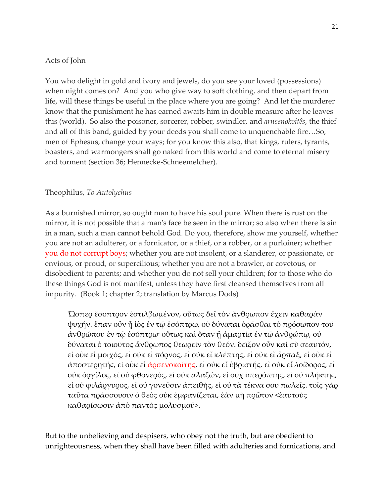### Acts of John

You who delight in gold and ivory and jewels, do you see your loved (possessions) when night comes on? And you who give way to soft clothing, and then depart from life, will these things be useful in the place where you are going? And let the murderer know that the punishment he has earned awaits him in double measure after he leaves this (world). So also the poisoner, sorcerer, robber, swindler, and *arnsenokoitês*, the thief and all of this band, guided by your deeds you shall come to unquenchable fire…So, men of Ephesus, change your ways; for you know this also, that kings, rulers, tyrants, boasters, and warmongers shall go naked from this world and come to eternal misery and torment (section 36; Hennecke-Schneemelcher).

### Theophilus, *To Autolychus*

As a burnished mirror, so ought man to have his soul pure. When there is rust on the mirror, it is not possible that a man's face be seen in the mirror; so also when there is sin in a man, such a man cannot behold God. Do you, therefore, show me yourself, whether you are not an adulterer, or a fornicator, or a thief, or a robber, or a purloiner; whether you do not corrupt boys; whether you are not insolent, or a slanderer, or passionate, or envious, or proud, or supercilious; whether you are not a brawler, or covetous, or disobedient to parents; and whether you do not sell your children; for to those who do these things God is not manifest, unless they have first cleansed themselves from all impurity. (Book 1; chapter 2; translation by Marcus Dods)

Ὥσπερ ἔσοπτρον ἐστιλβωμένον, οὕτως δεῖ τὸν ἄνθρωπον ἔχειν καθαρὰν ψυχήν. ἔπαν οὖν ᾖ ἰὸς ἐν τῷ ἐσόπτρῳ, οὐ δύναται ὁρᾶσθαι τὸ πρόσωπον τοῦ ἀνθρώπου ἐν τῷ ἐσόπτρῳ· οὕτως καὶ ὅταν ᾖ ἁμαρτία ἐν τῷ ἀνθρώπῳ, οὐ δύναται ὁ τοιοῦτος ἄνθρωπος θεωρεῖν τὸν θεόν. δεῖξον οὖν καὶ σὺ σεαυτόν, εἰ οὐκ εἶ μοιχός, εἰ οὐκ εἶ πόρνος, εἰ οὐκ εἶ κλέπτης, εἰ οὐκ εἶ ἅρπαξ, εἰ οὐκ εἶ ἀποστερητής, εἰ οὐκ εἶ ἀρσενοκοίτης, εἰ οὐκ εἶ ὑβριστής, εἰ οὐκ εἶ λοίδορος, εἰ οὐκ ὀργίλος, εἰ οὐ φθονερός, εἰ οὐκ ἀλαζών, εἰ οὐχ ὑπερόπτης, εἰ οὐ πλήκτης, εἰ οὐ φιλάργυρος, εἰ οὐ γονεῦσιν ἀπειθής, εἰ οὐ τὰ τέκνα σου πωλεῖς. τοῖς γὰρ ταῦτα πράσσουσιν ὁ θεὸς οὐκ ἐμφανίζεται, ἐὰν μὴ πρῶτον <ἑαυτοὺς καθαρίσωσιν ἀπὸ παντὸς μολυσμοῦ>.

But to the unbelieving and despisers, who obey not the truth, but are obedient to unrighteousness, when they shall have been filled with adulteries and fornications, and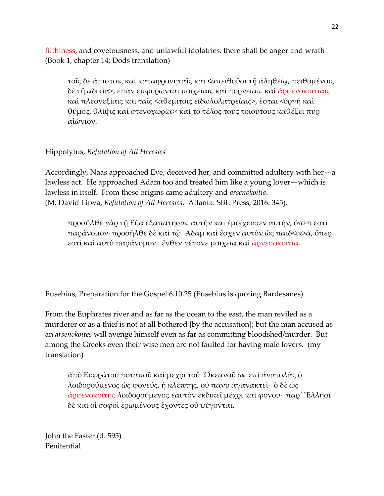filthiness, and covetousness, and unlawful idolatries, there shall be anger and wrath (Book 1, chapter 14; Dods translation)

τοῖς δὲ ἀπίστοις καὶ καταφρονηταῖς καὶ <ἀπειθοῦσι τῇ ἀληθείᾳ, πειθομένοις δὲ τῇ ἀδικίᾳ>, ἐπὰν ἐμφύρωνται μοιχείαις καὶ πορνείαις καὶ ἀρσενοκοιτίαις καὶ πλεονεξίαις καὶ ταῖς <ἀθεμίτοις εἰδωλολατρείαις>, ἔσται <ὀργὴ καὶ θύμος, θλίψις καὶ στενοχωρία>· καὶ τὸ τέλος τοὺς τοιούτους καθέξει πῦρ αἰώνιον.

### Hippolytus, *Refutation of All Heresies*

Accordingly, Naas approached Eve, deceived her, and committed adultery with her—a lawless act. He approached Adam too and treated him like a young lover—which is lawless in itself. From these origins came adultery and *arsenokoitia*. (M. David Litwa, *Refutation of All Heresies*. Atlanta: SBL Press, 2016: 345).

προσῆλθε γὰρ τῇ Εὔᾳ ἐξαπατήσας αὐτὴν καὶ ἐμοίχευσεν αὐτὴν, ὃπεπ ἐστὶ παράνομον· προσῆλθε δὲ καὶ τῷ ᾿Αδὰμ καὶ ἔσχεν αὐτὸν ὡς παιδ<ικ>ά, ὅπερ ἐστὶ καὶ αὐτὸ παράνομον. ἔνθεν γέγονε μοιχεία καὶ ἀρνεσοκοιτία.

Eusebius, Preparation for the Gospel 6.10.25 (Eusebius is quoting Bardesanes)

From the Euphrates river and as far as the ocean to the east, the man reviled as a murderer or as a thief is not at all bothered [by the accusation]; but the man accused as an *arsenokoites* will avenge himself even as far as committing bloodshed/murder. But among the Greeks even their wise men are not faulted for having male lovers. (my translation)

ἀπὸ Εὐφράτου ποταμοῦ καὶ μέχρι τοῦ ᾿Ωκεανοῦ ὡς ἐπὶ ἀνατολὰς ὁ λοιδορούμενος ὡς φονεύς, ἡ κλέπτης, οὐ πάνυ ἀγανακτεῖ· ὁ δὲ ὡς άρσενοκοίτης λοιδορούμενος ἑαυτὸν ἐκδικεῖ μέχρι καὶ φόνου· παρ᾽ Ἔλλησι δὲ καὶ οἱ σοφοὶ ἐρωμένους ἔχοντες οὐ ψέγονται.

John the Faster (d. 595) Penitential